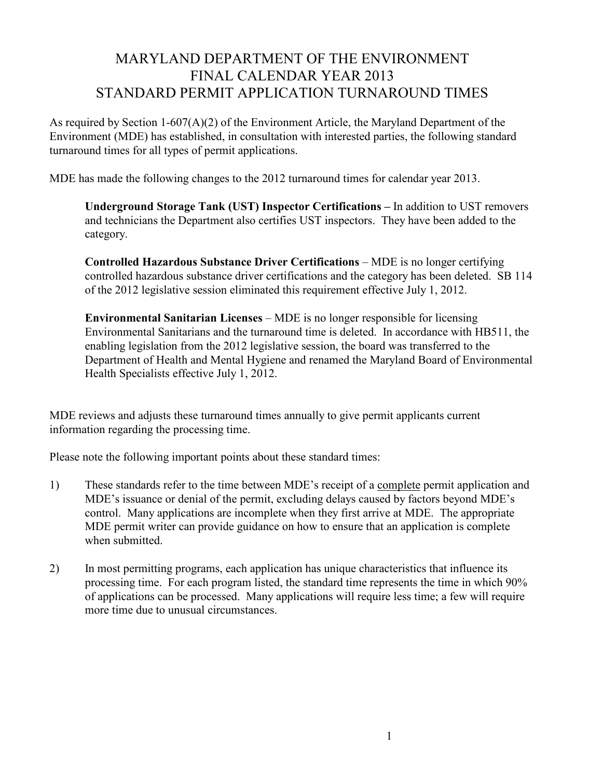## MARYLAND DEPARTMENT OF THE ENVIRONMENT FINAL CALENDAR YEAR 2013 STANDARD PERMIT APPLICATION TURNAROUND TIMES

As required by Section 1-607(A)(2) of the Environment Article, the Maryland Department of the Environment (MDE) has established, in consultation with interested parties, the following standard turnaround times for all types of permit applications.

MDE has made the following changes to the 2012 turnaround times for calendar year 2013.

Underground Storage Tank (UST) Inspector Certifications – In addition to UST removers and technicians the Department also certifies UST inspectors. They have been added to the category.

Controlled Hazardous Substance Driver Certifications – MDE is no longer certifying controlled hazardous substance driver certifications and the category has been deleted. SB 114 of the 2012 legislative session eliminated this requirement effective July 1, 2012.

Environmental Sanitarian Licenses – MDE is no longer responsible for licensing Environmental Sanitarians and the turnaround time is deleted. In accordance with HB511, the enabling legislation from the 2012 legislative session, the board was transferred to the Department of Health and Mental Hygiene and renamed the Maryland Board of Environmental Health Specialists effective July 1, 2012.

MDE reviews and adjusts these turnaround times annually to give permit applicants current information regarding the processing time.

Please note the following important points about these standard times:

- 1) These standards refer to the time between MDE's receipt of a complete permit application and MDE's issuance or denial of the permit, excluding delays caused by factors beyond MDE's control. Many applications are incomplete when they first arrive at MDE. The appropriate MDE permit writer can provide guidance on how to ensure that an application is complete when submitted.
- 2) In most permitting programs, each application has unique characteristics that influence its processing time. For each program listed, the standard time represents the time in which 90% of applications can be processed. Many applications will require less time; a few will require more time due to unusual circumstances.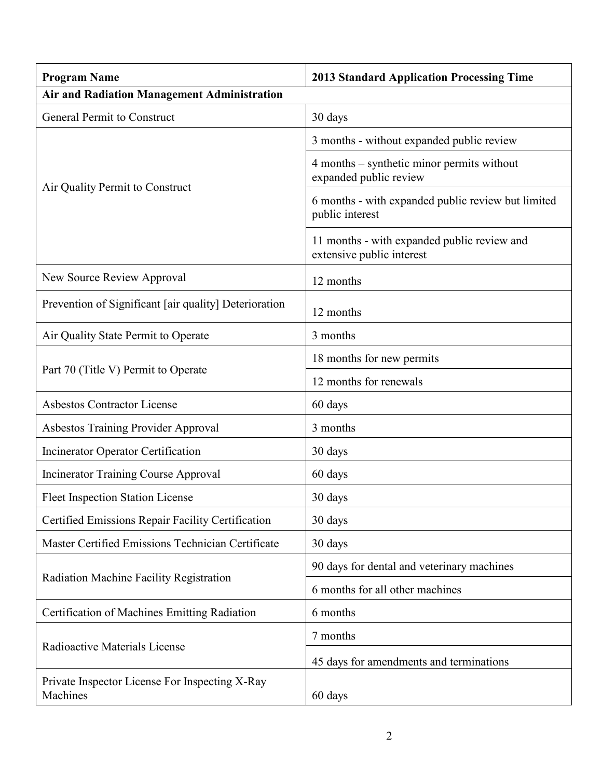| <b>Program Name</b>                                        | <b>2013 Standard Application Processing Time</b>                         |
|------------------------------------------------------------|--------------------------------------------------------------------------|
| <b>Air and Radiation Management Administration</b>         |                                                                          |
| <b>General Permit to Construct</b>                         | 30 days                                                                  |
| Air Quality Permit to Construct                            | 3 months - without expanded public review                                |
|                                                            | 4 months – synthetic minor permits without<br>expanded public review     |
|                                                            | 6 months - with expanded public review but limited<br>public interest    |
|                                                            | 11 months - with expanded public review and<br>extensive public interest |
| New Source Review Approval                                 | 12 months                                                                |
| Prevention of Significant [air quality] Deterioration      | 12 months                                                                |
| Air Quality State Permit to Operate                        | 3 months                                                                 |
|                                                            | 18 months for new permits                                                |
| Part 70 (Title V) Permit to Operate                        | 12 months for renewals                                                   |
| <b>Asbestos Contractor License</b>                         | 60 days                                                                  |
| <b>Asbestos Training Provider Approval</b>                 | 3 months                                                                 |
| <b>Incinerator Operator Certification</b>                  | 30 days                                                                  |
| <b>Incinerator Training Course Approval</b>                | 60 days                                                                  |
| <b>Fleet Inspection Station License</b>                    | 30 days                                                                  |
| Certified Emissions Repair Facility Certification          | 30 days                                                                  |
| Master Certified Emissions Technician Certificate          | 30 days                                                                  |
| Radiation Machine Facility Registration                    | 90 days for dental and veterinary machines                               |
|                                                            | 6 months for all other machines                                          |
| Certification of Machines Emitting Radiation               | 6 months                                                                 |
| Radioactive Materials License                              | 7 months                                                                 |
|                                                            | 45 days for amendments and terminations                                  |
| Private Inspector License For Inspecting X-Ray<br>Machines | 60 days                                                                  |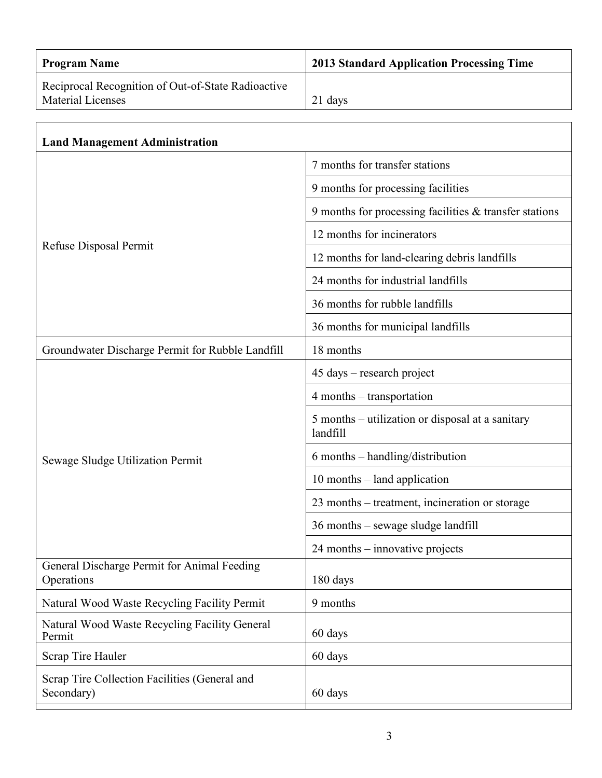| <b>Program Name</b>                                                            | <b>2013 Standard Application Processing Time</b>             |
|--------------------------------------------------------------------------------|--------------------------------------------------------------|
| Reciprocal Recognition of Out-of-State Radioactive<br><b>Material Licenses</b> | 21 days                                                      |
|                                                                                |                                                              |
| <b>Land Management Administration</b>                                          |                                                              |
| Refuse Disposal Permit                                                         | 7 months for transfer stations                               |
|                                                                                | 9 months for processing facilities                           |
|                                                                                | 9 months for processing facilities $\&$ transfer stations    |
|                                                                                | 12 months for incinerators                                   |
|                                                                                | 12 months for land-clearing debris landfills                 |
|                                                                                | 24 months for industrial landfills                           |
|                                                                                | 36 months for rubble landfills                               |
|                                                                                | 36 months for municipal landfills                            |
| Groundwater Discharge Permit for Rubble Landfill                               | 18 months                                                    |
|                                                                                | 45 days – research project                                   |
| Sewage Sludge Utilization Permit                                               | 4 months – transportation                                    |
|                                                                                | 5 months – utilization or disposal at a sanitary<br>landfill |
|                                                                                | 6 months – handling/distribution                             |
|                                                                                | $10$ months $-$ land application                             |
|                                                                                | 23 months – treatment, incineration or storage               |
|                                                                                | 36 months – sewage sludge landfill                           |
|                                                                                | 24 months – innovative projects                              |
| General Discharge Permit for Animal Feeding<br>Operations                      | 180 days                                                     |
| Natural Wood Waste Recycling Facility Permit                                   | 9 months                                                     |
| Natural Wood Waste Recycling Facility General<br>Permit                        | 60 days                                                      |
| Scrap Tire Hauler                                                              | 60 days                                                      |
| Scrap Tire Collection Facilities (General and<br>Secondary)                    | 60 days                                                      |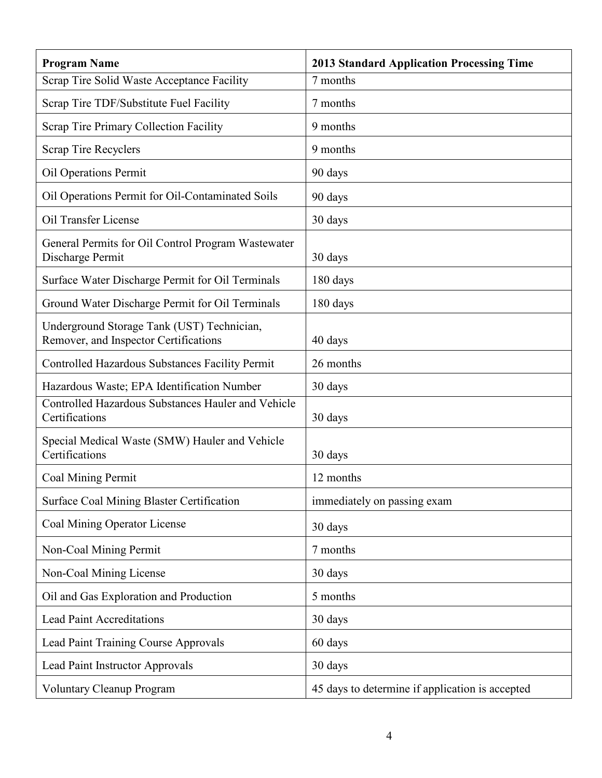| <b>Program Name</b>                                                                 | <b>2013 Standard Application Processing Time</b> |
|-------------------------------------------------------------------------------------|--------------------------------------------------|
| Scrap Tire Solid Waste Acceptance Facility                                          | 7 months                                         |
| Scrap Tire TDF/Substitute Fuel Facility                                             | 7 months                                         |
| Scrap Tire Primary Collection Facility                                              | 9 months                                         |
| <b>Scrap Tire Recyclers</b>                                                         | 9 months                                         |
| <b>Oil Operations Permit</b>                                                        | 90 days                                          |
| Oil Operations Permit for Oil-Contaminated Soils                                    | 90 days                                          |
| Oil Transfer License                                                                | 30 days                                          |
| General Permits for Oil Control Program Wastewater<br>Discharge Permit              | 30 days                                          |
| Surface Water Discharge Permit for Oil Terminals                                    | 180 days                                         |
| Ground Water Discharge Permit for Oil Terminals                                     | 180 days                                         |
| Underground Storage Tank (UST) Technician,<br>Remover, and Inspector Certifications | 40 days                                          |
| Controlled Hazardous Substances Facility Permit                                     | 26 months                                        |
| Hazardous Waste; EPA Identification Number                                          | 30 days                                          |
| Controlled Hazardous Substances Hauler and Vehicle<br>Certifications                | 30 days                                          |
| Special Medical Waste (SMW) Hauler and Vehicle<br>Certifications                    | 30 days                                          |
| Coal Mining Permit                                                                  | 12 months                                        |
| <b>Surface Coal Mining Blaster Certification</b>                                    | immediately on passing exam                      |
| Coal Mining Operator License                                                        | 30 days                                          |
| Non-Coal Mining Permit                                                              | 7 months                                         |
| Non-Coal Mining License                                                             | 30 days                                          |
| Oil and Gas Exploration and Production                                              | 5 months                                         |
| <b>Lead Paint Accreditations</b>                                                    | 30 days                                          |
| <b>Lead Paint Training Course Approvals</b>                                         | 60 days                                          |
| Lead Paint Instructor Approvals                                                     | 30 days                                          |
| <b>Voluntary Cleanup Program</b>                                                    | 45 days to determine if application is accepted  |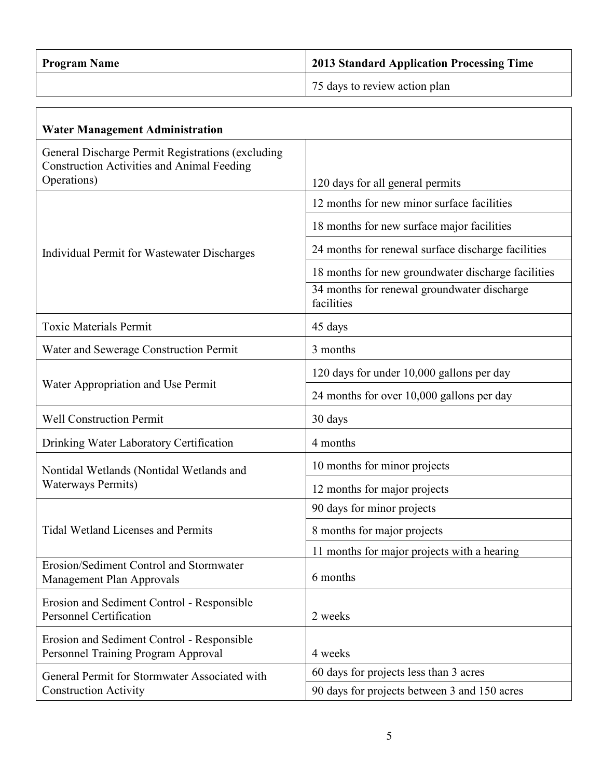| <b>Program Name</b> | 2013 Standard Application Processing Time |
|---------------------|-------------------------------------------|
|                     | 75 days to review action plan             |

٦

| <b>Water Management Administration</b>                                                                 |                                                           |
|--------------------------------------------------------------------------------------------------------|-----------------------------------------------------------|
| General Discharge Permit Registrations (excluding<br><b>Construction Activities and Animal Feeding</b> |                                                           |
| Operations)                                                                                            | 120 days for all general permits                          |
| Individual Permit for Wastewater Discharges                                                            | 12 months for new minor surface facilities                |
|                                                                                                        | 18 months for new surface major facilities                |
|                                                                                                        | 24 months for renewal surface discharge facilities        |
|                                                                                                        | 18 months for new groundwater discharge facilities        |
|                                                                                                        | 34 months for renewal groundwater discharge<br>facilities |
| <b>Toxic Materials Permit</b>                                                                          | 45 days                                                   |
| Water and Sewerage Construction Permit                                                                 | 3 months                                                  |
| Water Appropriation and Use Permit                                                                     | 120 days for under 10,000 gallons per day                 |
|                                                                                                        | 24 months for over 10,000 gallons per day                 |
| <b>Well Construction Permit</b>                                                                        | 30 days                                                   |
| Drinking Water Laboratory Certification                                                                | 4 months                                                  |
| Nontidal Wetlands (Nontidal Wetlands and<br><b>Waterways Permits)</b>                                  | 10 months for minor projects                              |
|                                                                                                        | 12 months for major projects                              |
| <b>Tidal Wetland Licenses and Permits</b>                                                              | 90 days for minor projects                                |
|                                                                                                        | 8 months for major projects                               |
|                                                                                                        | 11 months for major projects with a hearing               |
| Erosion/Sediment Control and Stormwater<br>Management Plan Approvals                                   | 6 months                                                  |
| Erosion and Sediment Control - Responsible<br><b>Personnel Certification</b>                           | 2 weeks                                                   |
| Erosion and Sediment Control - Responsible<br>Personnel Training Program Approval                      | 4 weeks                                                   |
| General Permit for Stormwater Associated with<br><b>Construction Activity</b>                          | 60 days for projects less than 3 acres                    |
|                                                                                                        | 90 days for projects between 3 and 150 acres              |